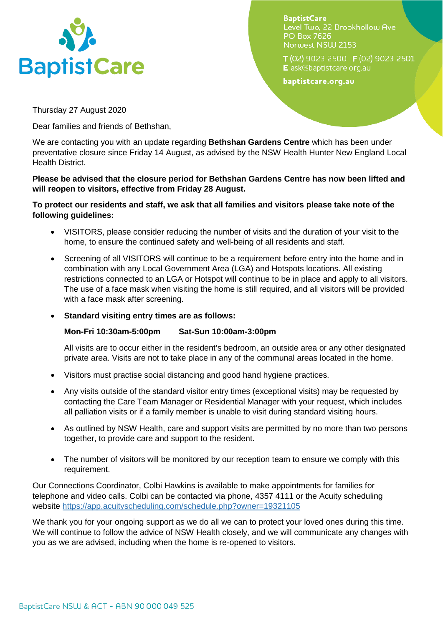

**BaptistCare** Level Two, 22 Brookhollow Ave **PO Box 7626** Norwest NSW 2153

T(02) 9023 2500 F(02) 9023 2501 E ask@baptistcare.org.au

baptistcare.org.au

Thursday 27 August 2020

Dear families and friends of Bethshan,

We are contacting you with an update regarding **Bethshan Gardens Centre** which has been under preventative closure since Friday 14 August, as advised by the NSW Health Hunter New England Local Health District.

## **Please be advised that the closure period for Bethshan Gardens Centre has now been lifted and will reopen to visitors, effective from Friday 28 August.**

## **To protect our residents and staff, we ask that all families and visitors please take note of the following guidelines:**

- VISITORS, please consider reducing the number of visits and the duration of your visit to the home, to ensure the continued safety and well-being of all residents and staff.
- Screening of all VISITORS will continue to be a requirement before entry into the home and in combination with any Local Government Area (LGA) and Hotspots locations. All existing restrictions connected to an LGA or Hotspot will continue to be in place and apply to all visitors. The use of a face mask when visiting the home is still required, and all visitors will be provided with a face mask after screening.
- **Standard visiting entry times are as follows:**

## **Mon-Fri 10:30am-5:00pm Sat-Sun 10:00am-3:00pm**

All visits are to occur either in the resident's bedroom, an outside area or any other designated private area. Visits are not to take place in any of the communal areas located in the home.

- Visitors must practise social distancing and good hand hygiene practices.
- Any visits outside of the standard visitor entry times (exceptional visits) may be requested by contacting the Care Team Manager or Residential Manager with your request, which includes all palliation visits or if a family member is unable to visit during standard visiting hours.
- As outlined by NSW Health, care and support visits are permitted by no more than two persons together, to provide care and support to the resident.
- The number of visitors will be monitored by our reception team to ensure we comply with this requirement.

Our Connections Coordinator, Colbi Hawkins is available to make appointments for families for telephone and video calls. Colbi can be contacted via phone, 4357 4111 or the Acuity scheduling website<https://app.acuityscheduling.com/schedule.php?owner=19321105>

We thank you for your ongoing support as we do all we can to protect your loved ones during this time. We will continue to follow the advice of NSW Health closely, and we will communicate any changes with you as we are advised, including when the home is re-opened to visitors.